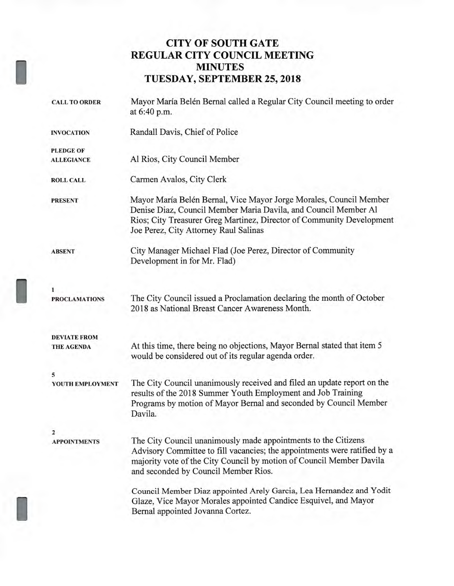## **CITY OF SOUTH GATE REGULAR CITY COUNCIL MEETING MINUTES TUESDAY, SEPTEMBER 25, 2018**

| <b>CALL TO ORDER</b>     | Mayor María Belén Bernal called a Regular City Council meeting to order<br>at 6:40 p.m.                                                                                                                                                                     |
|--------------------------|-------------------------------------------------------------------------------------------------------------------------------------------------------------------------------------------------------------------------------------------------------------|
| <b>INVOCATION</b>        | Randall Davis, Chief of Police                                                                                                                                                                                                                              |
| <b>PLEDGE OF</b>         |                                                                                                                                                                                                                                                             |
| <b>ALLEGIANCE</b>        | Al Rios, City Council Member                                                                                                                                                                                                                                |
| <b>ROLL CALL</b>         | Carmen Avalos, City Clerk                                                                                                                                                                                                                                   |
| <b>PRESENT</b>           | Mayor María Belén Bernal, Vice Mayor Jorge Morales, Council Member<br>Denise Diaz, Council Member Maria Davila, and Council Member Al<br>Rios; City Treasurer Greg Martinez, Director of Community Development<br>Joe Perez, City Attorney Raul Salinas     |
| <b>ABSENT</b>            | City Manager Michael Flad (Joe Perez, Director of Community<br>Development in for Mr. Flad)                                                                                                                                                                 |
| 1                        |                                                                                                                                                                                                                                                             |
| <b>PROCLAMATIONS</b>     | The City Council issued a Proclamation declaring the month of October<br>2018 as National Breast Cancer Awareness Month.                                                                                                                                    |
| <b>DEVIATE FROM</b>      |                                                                                                                                                                                                                                                             |
| THE AGENDA               | At this time, there being no objections, Mayor Bernal stated that item 5<br>would be considered out of its regular agenda order.                                                                                                                            |
| 5                        |                                                                                                                                                                                                                                                             |
| YOUTH EMPLOYMENT         | The City Council unanimously received and filed an update report on the<br>results of the 2018 Summer Youth Employment and Job Training<br>Programs by motion of Mayor Bernal and seconded by Council Member<br>Davila.                                     |
| 2<br><b>APPOINTMENTS</b> | The City Council unanimously made appointments to the Citizens<br>Advisory Committee to fill vacancies; the appointments were ratified by a<br>majority vote of the City Council by motion of Council Member Davila<br>and seconded by Council Member Rios. |
|                          | Council Member Diaz appointed Arely Garcia, Lea Hernandez and Yodit<br>Glaze, Vice Mayor Morales appointed Candice Esquivel, and Mayor<br>Bernal appointed Jovanna Cortez.                                                                                  |
|                          |                                                                                                                                                                                                                                                             |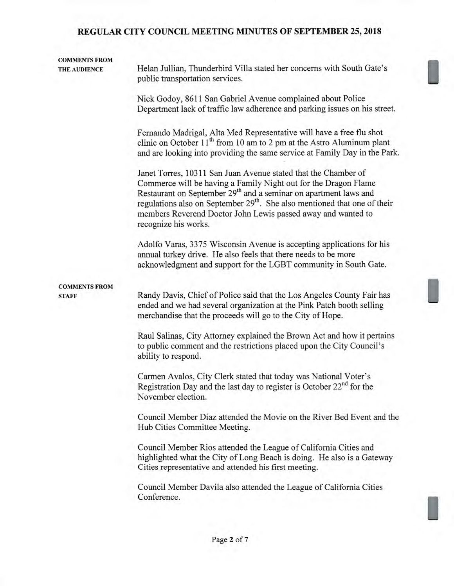| <b>COMMENTS FROM</b><br>THE AUDIENCE | Helan Jullian, Thunderbird Villa stated her concerns with South Gate's<br>public transportation services.                                                                                                                                                                                                                                                                                          |  |  |  |  |
|--------------------------------------|----------------------------------------------------------------------------------------------------------------------------------------------------------------------------------------------------------------------------------------------------------------------------------------------------------------------------------------------------------------------------------------------------|--|--|--|--|
|                                      | Nick Godoy, 8611 San Gabriel Avenue complained about Police<br>Department lack of traffic law adherence and parking issues on his street.                                                                                                                                                                                                                                                          |  |  |  |  |
|                                      | Fernando Madrigal, Alta Med Representative will have a free flu shot<br>clinic on October 11 <sup>th</sup> from 10 am to 2 pm at the Astro Aluminum plant<br>and are looking into providing the same service at Family Day in the Park.                                                                                                                                                            |  |  |  |  |
|                                      | Janet Torres, 10311 San Juan Avenue stated that the Chamber of<br>Commerce will be having a Family Night out for the Dragon Flame<br>Restaurant on September 29 <sup>th</sup> and a seminar on apartment laws and<br>regulations also on September 29 <sup>th</sup> . She also mentioned that one of their<br>members Reverend Doctor John Lewis passed away and wanted to<br>recognize his works. |  |  |  |  |
|                                      | Adolfo Varas, 3375 Wisconsin Avenue is accepting applications for his<br>annual turkey drive. He also feels that there needs to be more<br>acknowledgment and support for the LGBT community in South Gate.                                                                                                                                                                                        |  |  |  |  |
| <b>COMMENTS FROM</b><br><b>STAFF</b> | Randy Davis, Chief of Police said that the Los Angeles County Fair has<br>ended and we had several organization at the Pink Patch booth selling<br>merchandise that the proceeds will go to the City of Hope.                                                                                                                                                                                      |  |  |  |  |
|                                      | Raul Salinas, City Attorney explained the Brown Act and how it pertains<br>to public comment and the restrictions placed upon the City Council's<br>ability to respond.                                                                                                                                                                                                                            |  |  |  |  |
|                                      | Carmen Avalos, City Clerk stated that today was National Voter's<br>Registration Day and the last day to register is October $22nd$ for the<br>November election.                                                                                                                                                                                                                                  |  |  |  |  |
|                                      | Council Member Diaz attended the Movie on the River Bed Event and the<br>Hub Cities Committee Meeting.                                                                                                                                                                                                                                                                                             |  |  |  |  |
|                                      | Council Member Rios attended the League of California Cities and<br>highlighted what the City of Long Beach is doing. He also is a Gateway<br>Cities representative and attended his first meeting.                                                                                                                                                                                                |  |  |  |  |
|                                      | Council Member Davila also attended the League of California Cities<br>Conference.                                                                                                                                                                                                                                                                                                                 |  |  |  |  |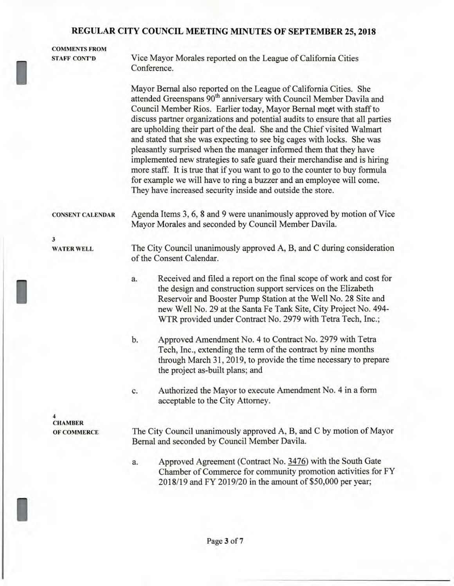| <b>COMMENTS FROM</b>    |                                                                                                                                                                                                                                                                                                                                                                                                                                                                                                                                                                                                                                                                                                                                                                                                                                           |  |  |
|-------------------------|-------------------------------------------------------------------------------------------------------------------------------------------------------------------------------------------------------------------------------------------------------------------------------------------------------------------------------------------------------------------------------------------------------------------------------------------------------------------------------------------------------------------------------------------------------------------------------------------------------------------------------------------------------------------------------------------------------------------------------------------------------------------------------------------------------------------------------------------|--|--|
| <b>STAFF CONT'D</b>     | Vice Mayor Morales reported on the League of California Cities<br>Conference.                                                                                                                                                                                                                                                                                                                                                                                                                                                                                                                                                                                                                                                                                                                                                             |  |  |
|                         | Mayor Bernal also reported on the League of California Cities. She<br>attended Greenspans 90 <sup>th</sup> anniversary with Council Member Davila and<br>Council Member Rios. Earlier today, Mayor Bernal meet with staff to<br>discuss partner organizations and potential audits to ensure that all parties<br>are upholding their part of the deal. She and the Chief visited Walmart<br>and stated that she was expecting to see big cages with locks. She was<br>pleasantly surprised when the manager informed them that they have<br>implemented new strategies to safe guard their merchandise and is hiring<br>more staff. It is true that if you want to go to the counter to buy formula<br>for example we will have to ring a buzzer and an employee will come.<br>They have increased security inside and outside the store. |  |  |
| <b>CONSENT CALENDAR</b> | Agenda Items 3, 6, 8 and 9 were unanimously approved by motion of Vice<br>Mayor Morales and seconded by Council Member Davila.                                                                                                                                                                                                                                                                                                                                                                                                                                                                                                                                                                                                                                                                                                            |  |  |
| 3                       |                                                                                                                                                                                                                                                                                                                                                                                                                                                                                                                                                                                                                                                                                                                                                                                                                                           |  |  |
| <b>WATER WELL</b>       | The City Council unanimously approved A, B, and C during consideration<br>of the Consent Calendar.                                                                                                                                                                                                                                                                                                                                                                                                                                                                                                                                                                                                                                                                                                                                        |  |  |
|                         | Received and filed a report on the final scope of work and cost for<br>a.<br>the design and construction support services on the Elizabeth<br>Reservoir and Booster Pump Station at the Well No. 28 Site and<br>new Well No. 29 at the Santa Fe Tank Site, City Project No. 494-                                                                                                                                                                                                                                                                                                                                                                                                                                                                                                                                                          |  |  |
|                         | WTR provided under Contract No. 2979 with Tetra Tech, Inc.;                                                                                                                                                                                                                                                                                                                                                                                                                                                                                                                                                                                                                                                                                                                                                                               |  |  |
|                         | b.<br>Approved Amendment No. 4 to Contract No. 2979 with Tetra<br>Tech, Inc., extending the term of the contract by nine months<br>through March 31, 2019, to provide the time necessary to prepare<br>the project as-built plans; and                                                                                                                                                                                                                                                                                                                                                                                                                                                                                                                                                                                                    |  |  |
|                         | Authorized the Mayor to execute Amendment No. 4 in a form<br>c.<br>acceptable to the City Attorney.                                                                                                                                                                                                                                                                                                                                                                                                                                                                                                                                                                                                                                                                                                                                       |  |  |
|                         |                                                                                                                                                                                                                                                                                                                                                                                                                                                                                                                                                                                                                                                                                                                                                                                                                                           |  |  |

**CHAMBER OF COMMERCE** 

I

The City Council unanimously approved A, B, and C by motion of Mayor Bernal and seconded by Council Member Davila.

a. Approved Agreement (Contract No. 3476) with the South Gate Chamber of Commerce for community promotion activities for FY 2018/19 and FY 2019/20 in the amount of \$50,000 per year;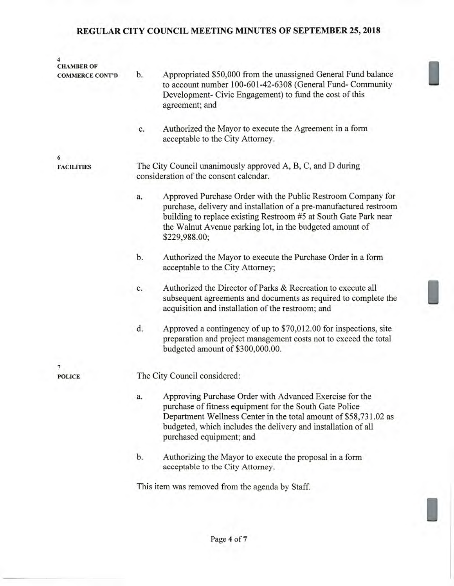| 4<br><b>CHAMBER OF</b> |                                                                                                       |                                                                                                                                                                                                                                                                                     |  |  |
|------------------------|-------------------------------------------------------------------------------------------------------|-------------------------------------------------------------------------------------------------------------------------------------------------------------------------------------------------------------------------------------------------------------------------------------|--|--|
| <b>COMMERCE CONT'D</b> | b.                                                                                                    | Appropriated \$50,000 from the unassigned General Fund balance<br>to account number 100-601-42-6308 (General Fund- Community<br>Development- Civic Engagement) to fund the cost of this<br>agreement; and                                                                           |  |  |
|                        | c.                                                                                                    | Authorized the Mayor to execute the Agreement in a form<br>acceptable to the City Attorney.                                                                                                                                                                                         |  |  |
| 6                      |                                                                                                       |                                                                                                                                                                                                                                                                                     |  |  |
| <b>FACILITIES</b>      | The City Council unanimously approved A, B, C, and D during<br>consideration of the consent calendar. |                                                                                                                                                                                                                                                                                     |  |  |
|                        | a.                                                                                                    | Approved Purchase Order with the Public Restroom Company for<br>purchase, delivery and installation of a pre-manufactured restroom<br>building to replace existing Restroom #5 at South Gate Park near<br>the Walnut Avenue parking lot, in the budgeted amount of<br>\$229,988.00; |  |  |
|                        | b.                                                                                                    | Authorized the Mayor to execute the Purchase Order in a form<br>acceptable to the City Attorney;                                                                                                                                                                                    |  |  |
|                        | c.                                                                                                    | Authorized the Director of Parks & Recreation to execute all<br>subsequent agreements and documents as required to complete the<br>acquisition and installation of the restroom; and                                                                                                |  |  |
|                        | d.                                                                                                    | Approved a contingency of up to \$70,012.00 for inspections, site<br>preparation and project management costs not to exceed the total<br>budgeted amount of \$300,000.00.                                                                                                           |  |  |
| 7                      |                                                                                                       |                                                                                                                                                                                                                                                                                     |  |  |
| <b>POLICE</b>          | The City Council considered:                                                                          |                                                                                                                                                                                                                                                                                     |  |  |
|                        | a.                                                                                                    | Approving Purchase Order with Advanced Exercise for the<br>purchase of fitness equipment for the South Gate Police<br>Department Wellness Center in the total amount of \$58,731.02 as<br>budgeted, which includes the delivery and installation of all<br>purchased equipment; and |  |  |
|                        | b.                                                                                                    | Authorizing the Mayor to execute the proposal in a form<br>acceptable to the City Attorney.                                                                                                                                                                                         |  |  |
|                        |                                                                                                       | This item was removed from the agenda by Staff.                                                                                                                                                                                                                                     |  |  |
|                        |                                                                                                       |                                                                                                                                                                                                                                                                                     |  |  |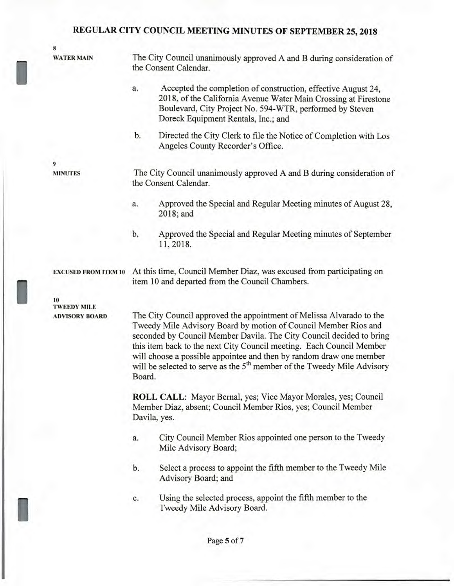**8** 

**WATER MAIN** The City Council unanimously approved A and B during consideration of the Consent Calendar.

- a. Accepted the completion of construction, effective August 24, 2018, of the California Avenue Water Main Crossing at Firestone Boulevard, City Project No. 594-WTR, performed by Steven Doreck Equipment Rentals, Inc.; and
- b. Directed the City Clerk to file the Notice of Completion with Los Angeles County Recorder's Office.

**9** 

**MINUTES** The City Council unanimously approved A and B during consideration of the Consent Calendar.

- a. Approved the Special and Regular Meeting minutes of August 28, 2018; and
- b. Approved the Special and Regular Meeting minutes of September 11, 2018.

**EXCUSED FROM ITEM 10** At this time, Council Member Diaz, was excused from participating on item 10 and departed from the Council Chambers.

**10 TWEEDY MILE** 

I

**ADVISORY BOARD** The City Council approved the appointment of Melissa Alvarado to the Tweedy Mile Advisory Board by motion of Council Member Rios and seconded by Council Member Davila. The City Council decided to bring this item back to the next City Council meeting. Each Council Member will choose a possible appointee and then by random draw one member will be selected to serve as the 5<sup>th</sup> member of the Tweedy Mile Advisory Board.

> **ROLL CALL:** Mayor Bernal, yes; Vice Mayor Morales, yes; Council Member Diaz, absent; Council Member Rios, yes; Council Member Davila, yes.

- a. City Council Member Rios appointed one person to the Tweedy Mile Advisory Board;
- b. Select a process to appoint the fifth member to the Tweedy Mile Advisory Board; and
- c. Using the selected process, appoint the fifth member to the Tweedy Mile Advisory Board.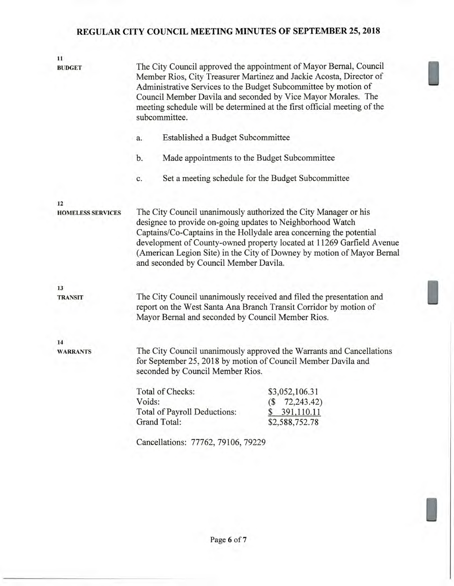| 11<br><b>BUDGET</b>      | The City Council approved the appointment of Mayor Bernal, Council<br>Member Rios, City Treasurer Martinez and Jackie Acosta, Director of<br>Administrative Services to the Budget Subcommittee by motion of<br>Council Member Davila and seconded by Vice Mayor Morales. The<br>meeting schedule will be determined at the first official meeting of the<br>subcommittee.                        |                              |                                                    |  |  |
|--------------------------|---------------------------------------------------------------------------------------------------------------------------------------------------------------------------------------------------------------------------------------------------------------------------------------------------------------------------------------------------------------------------------------------------|------------------------------|----------------------------------------------------|--|--|
|                          | Established a Budget Subcommittee<br>a.                                                                                                                                                                                                                                                                                                                                                           |                              |                                                    |  |  |
|                          | b.<br>Made appointments to the Budget Subcommittee                                                                                                                                                                                                                                                                                                                                                |                              |                                                    |  |  |
|                          | c.                                                                                                                                                                                                                                                                                                                                                                                                |                              | Set a meeting schedule for the Budget Subcommittee |  |  |
| 12                       |                                                                                                                                                                                                                                                                                                                                                                                                   |                              |                                                    |  |  |
| <b>HOMELESS SERVICES</b> | The City Council unanimously authorized the City Manager or his<br>designee to provide on-going updates to Neighborhood Watch<br>Captains/Co-Captains in the Hollydale area concerning the potential<br>development of County-owned property located at 11269 Garfield Avenue<br>(American Legion Site) in the City of Downey by motion of Mayor Bernal<br>and seconded by Council Member Davila. |                              |                                                    |  |  |
| 13                       |                                                                                                                                                                                                                                                                                                                                                                                                   |                              |                                                    |  |  |
| <b>TRANSIT</b>           | The City Council unanimously received and filed the presentation and<br>report on the West Santa Ana Branch Transit Corridor by motion of<br>Mayor Bernal and seconded by Council Member Rios.                                                                                                                                                                                                    |                              |                                                    |  |  |
| 14                       |                                                                                                                                                                                                                                                                                                                                                                                                   |                              |                                                    |  |  |
| <b>WARRANTS</b>          | The City Council unanimously approved the Warrants and Cancellations<br>for September 25, 2018 by motion of Council Member Davila and<br>seconded by Council Member Rios.                                                                                                                                                                                                                         |                              |                                                    |  |  |
|                          |                                                                                                                                                                                                                                                                                                                                                                                                   | Total of Checks:             | \$3,052,106.31                                     |  |  |
|                          | Voids:                                                                                                                                                                                                                                                                                                                                                                                            |                              | 72,243.42)<br>(\$                                  |  |  |
|                          |                                                                                                                                                                                                                                                                                                                                                                                                   | Total of Payroll Deductions: | 391,110.11<br>\$                                   |  |  |
|                          | Grand Total:                                                                                                                                                                                                                                                                                                                                                                                      |                              | \$2,588,752.78                                     |  |  |
|                          | Cancellations: 77762, 79106, 79229                                                                                                                                                                                                                                                                                                                                                                |                              |                                                    |  |  |